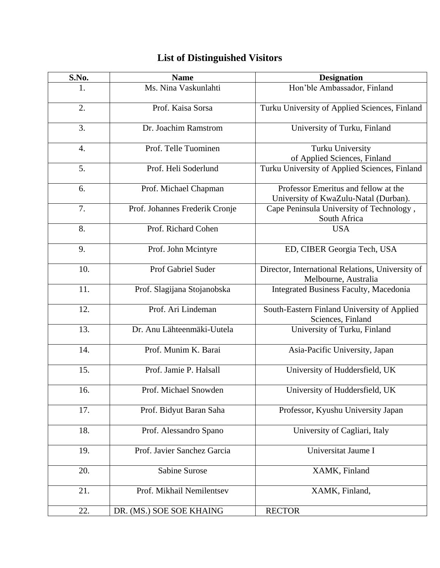| S.No.            | <b>Name</b>                    | <b>Designation</b>                                                            |
|------------------|--------------------------------|-------------------------------------------------------------------------------|
| 1.               | Ms. Nina Vaskunlahti           | Hon'ble Ambassador, Finland                                                   |
| 2.               | Prof. Kaisa Sorsa              | Turku University of Applied Sciences, Finland                                 |
| 3.               | Dr. Joachim Ramstrom           | University of Turku, Finland                                                  |
| $\overline{4}$ . | Prof. Telle Tuominen           | <b>Turku University</b><br>of Applied Sciences, Finland                       |
| 5.               | Prof. Heli Soderlund           | Turku University of Applied Sciences, Finland                                 |
| 6.               | Prof. Michael Chapman          | Professor Emeritus and fellow at the<br>University of KwaZulu-Natal (Durban). |
| 7.               | Prof. Johannes Frederik Cronje | Cape Peninsula University of Technology,<br>South Africa                      |
| 8.               | Prof. Richard Cohen            | <b>USA</b>                                                                    |
| 9.               | Prof. John Mcintyre            | ED, CIBER Georgia Tech, USA                                                   |
| 10.              | Prof Gabriel Suder             | Director, International Relations, University of<br>Melbourne, Australia      |
| 11.              | Prof. Slagijana Stojanobska    | Integrated Business Faculty, Macedonia                                        |
| 12.              | Prof. Ari Lindeman             | South-Eastern Finland University of Applied<br>Sciences, Finland              |
| 13.              | Dr. Anu Lähteenmäki-Uutela     | University of Turku, Finland                                                  |
| 14.              | Prof. Munim K. Barai           | Asia-Pacific University, Japan                                                |
| 15.              | Prof. Jamie P. Halsall         | University of Huddersfield, UK                                                |
| 16.              | Prof. Michael Snowden          | University of Huddersfield, UK                                                |
| 17.              | Prof. Bidyut Baran Saha        | Professor, Kyushu University Japan                                            |
| 18.              | Prof. Alessandro Spano         | University of Cagliari, Italy                                                 |
| 19.              | Prof. Javier Sanchez Garcia    | Universitat Jaume I                                                           |
| 20.              | <b>Sabine Surose</b>           | XAMK, Finland                                                                 |
| 21.              | Prof. Mikhail Nemilentsev      | XAMK, Finland,                                                                |
| 22.              | DR. (MS.) SOE SOE KHAING       | <b>RECTOR</b>                                                                 |

## **List of Distinguished Visitors**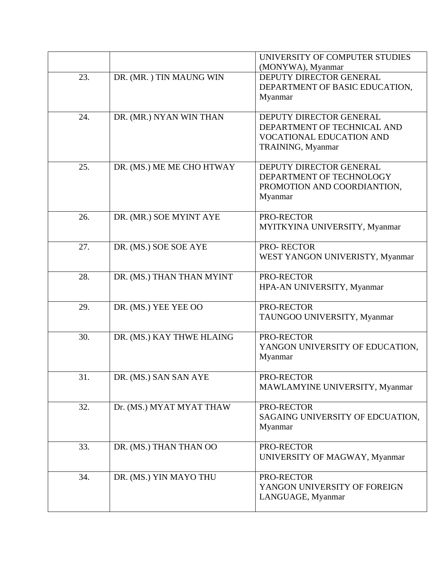|     |                           | UNIVERSITY OF COMPUTER STUDIES<br>(MONYWA), Myanmar                                                            |
|-----|---------------------------|----------------------------------------------------------------------------------------------------------------|
| 23. | DR. (MR.) TIN MAUNG WIN   | DEPUTY DIRECTOR GENERAL<br>DEPARTMENT OF BASIC EDUCATION,<br>Myanmar                                           |
| 24. | DR. (MR.) NYAN WIN THAN   | DEPUTY DIRECTOR GENERAL<br>DEPARTMENT OF TECHNICAL AND<br><b>VOCATIONAL EDUCATION AND</b><br>TRAINING, Myanmar |
| 25. | DR. (MS.) ME ME CHO HTWAY | DEPUTY DIRECTOR GENERAL<br>DEPARTMENT OF TECHNOLOGY<br>PROMOTION AND COORDIANTION,<br>Myanmar                  |
| 26. | DR. (MR.) SOE MYINT AYE   | PRO-RECTOR<br>MYITKYINA UNIVERSITY, Myanmar                                                                    |
| 27. | DR. (MS.) SOE SOE AYE     | PRO-RECTOR<br>WEST YANGON UNIVERISTY, Myanmar                                                                  |
| 28. | DR. (MS.) THAN THAN MYINT | PRO-RECTOR<br>HPA-AN UNIVERSITY, Myanmar                                                                       |
| 29. | DR. (MS.) YEE YEE OO      | PRO-RECTOR<br>TAUNGOO UNIVERSITY, Myanmar                                                                      |
| 30. | DR. (MS.) KAY THWE HLAING | PRO-RECTOR<br>YANGON UNIVERSITY OF EDUCATION,<br>Myanmar                                                       |
| 31. | DR. (MS.) SAN SAN AYE     | PRO-RECTOR<br>MAWLAMYINE UNIVERSITY, Myanmar                                                                   |
| 32. | Dr. (MS.) MYAT MYAT THAW  | PRO-RECTOR<br>SAGAING UNIVERSITY OF EDCUATION,<br>Myanmar                                                      |
| 33. | DR. (MS.) THAN THAN OO    | PRO-RECTOR<br>UNIVERSITY OF MAGWAY, Myanmar                                                                    |
| 34. | DR. (MS.) YIN MAYO THU    | PRO-RECTOR<br>YANGON UNIVERSITY OF FOREIGN<br>LANGUAGE, Myanmar                                                |